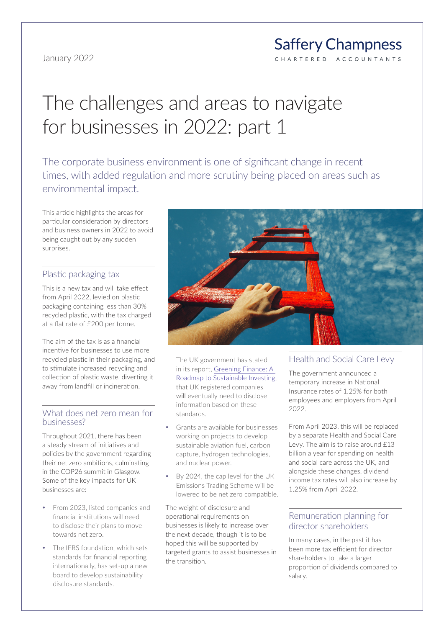#### **Saffery Champness** C H A R T E R E D ACCOUNTANTS

# The challenges and areas to navigate for businesses in 2022: part 1

The corporate business environment is one of significant change in recent times, with added regulation and more scrutiny being placed on areas such as environmental impact.

This article highlights the areas for particular consideration by directors and business owners in 2022 to avoid being caught out by any sudden surprises.

#### Plastic packaging tax

This is a new tax and will take effect from April 2022, levied on plastic packaging containing less than 30% recycled plastic, with the tax charged at a flat rate of £200 per tonne.

The aim of the tax is as a financial incentive for businesses to use more recycled plastic in their packaging, and to stimulate increased recycling and collection of plastic waste, diverting it away from landfill or incineration.

#### What does net zero mean for businesses?

Throughout 2021, there has been a steady stream of initiatives and policies by the government regarding their net zero ambitions, culminating in the COP26 summit in Glasgow. Some of the key impacts for UK businesses are:

- From 2023, listed companies and financial institutions will need to disclose their plans to move towards net zero.
- The IFRS foundation, which sets standards for financial reporting internationally, has set-up a new board to develop sustainability disclosure standards.



The UK government has stated in its report, [Greening Finance: A](www.gov.uk/government/publications/greening-finance-a-roadmap-to-sustainable-investing)  [Roadmap to Sustainable Investing](www.gov.uk/government/publications/greening-finance-a-roadmap-to-sustainable-investing), that UK registered companies will eventually need to disclose information based on these standards.

- Grants are available for businesses working on projects to develop sustainable aviation fuel, carbon capture, hydrogen technologies, and nuclear power.
- y By 2024, the cap level for the UK Emissions Trading Scheme will be lowered to be net zero compatible.

The weight of disclosure and operational requirements on businesses is likely to increase over the next decade, though it is to be hoped this will be supported by targeted grants to assist businesses in the transition.

# Health and Social Care Levy

The government announced a temporary increase in National Insurance rates of 1.25% for both employees and employers from April 2022.

From April 2023, this will be replaced by a separate Health and Social Care Levy. The aim is to raise around £13 billion a year for spending on health and social care across the UK, and alongside these changes, dividend income tax rates will also increase by 1.25% from April 2022.

## Remuneration planning for director shareholders

In many cases, in the past it has been more tax efficient for director shareholders to take a larger proportion of dividends compared to salary.